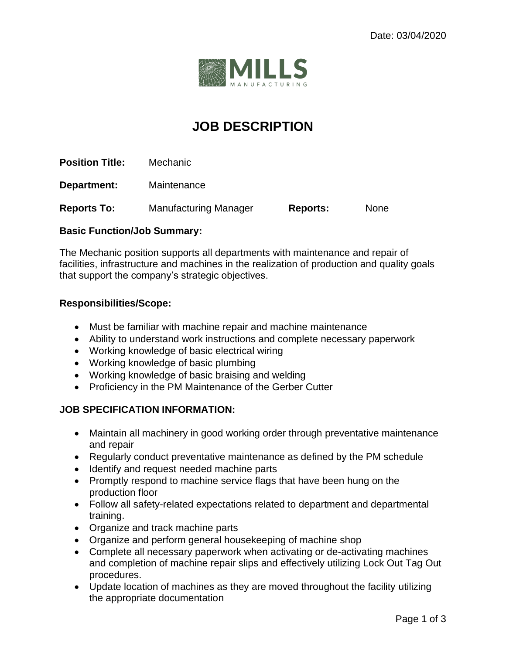

# **JOB DESCRIPTION**

**Position Title:** Mechanic

**Department:** Maintenance

**Reports To:** Manufacturing Manager **Reports:** None

## **Basic Function/Job Summary:**

The Mechanic position supports all departments with maintenance and repair of facilities, infrastructure and machines in the realization of production and quality goals that support the company's strategic objectives.

## **Responsibilities/Scope:**

- Must be familiar with machine repair and machine maintenance
- Ability to understand work instructions and complete necessary paperwork
- Working knowledge of basic electrical wiring
- Working knowledge of basic plumbing
- Working knowledge of basic braising and welding
- Proficiency in the PM Maintenance of the Gerber Cutter

### **JOB SPECIFICATION INFORMATION:**

- Maintain all machinery in good working order through preventative maintenance and repair
- Regularly conduct preventative maintenance as defined by the PM schedule
- Identify and request needed machine parts
- Promptly respond to machine service flags that have been hung on the production floor
- Follow all safety-related expectations related to department and departmental training.
- Organize and track machine parts
- Organize and perform general housekeeping of machine shop
- Complete all necessary paperwork when activating or de-activating machines and completion of machine repair slips and effectively utilizing Lock Out Tag Out procedures.
- Update location of machines as they are moved throughout the facility utilizing the appropriate documentation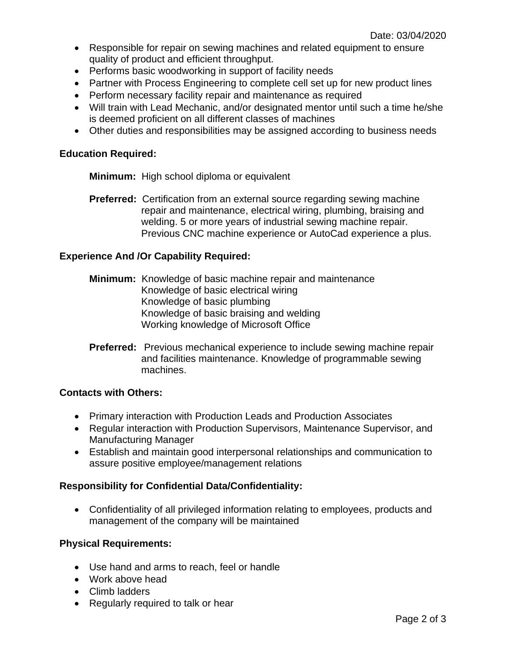- Responsible for repair on sewing machines and related equipment to ensure quality of product and efficient throughput.
- Performs basic woodworking in support of facility needs
- Partner with Process Engineering to complete cell set up for new product lines
- Perform necessary facility repair and maintenance as required
- Will train with Lead Mechanic, and/or designated mentor until such a time he/she is deemed proficient on all different classes of machines
- Other duties and responsibilities may be assigned according to business needs

#### **Education Required:**

**Minimum:** High school diploma or equivalent

**Preferred:** Certification from an external source regarding sewing machine repair and maintenance, electrical wiring, plumbing, braising and welding. 5 or more years of industrial sewing machine repair. Previous CNC machine experience or AutoCad experience a plus.

## **Experience And /Or Capability Required:**

- **Minimum:** Knowledge of basic machine repair and maintenance Knowledge of basic electrical wiring Knowledge of basic plumbing Knowledge of basic braising and welding Working knowledge of Microsoft Office
- **Preferred:** Previous mechanical experience to include sewing machine repair and facilities maintenance. Knowledge of programmable sewing machines.

#### **Contacts with Others:**

- Primary interaction with Production Leads and Production Associates
- Regular interaction with Production Supervisors, Maintenance Supervisor, and Manufacturing Manager
- Establish and maintain good interpersonal relationships and communication to assure positive employee/management relations

#### **Responsibility for Confidential Data/Confidentiality:**

• Confidentiality of all privileged information relating to employees, products and management of the company will be maintained

#### **Physical Requirements:**

- Use hand and arms to reach, feel or handle
- Work above head
- Climb ladders
- Regularly required to talk or hear